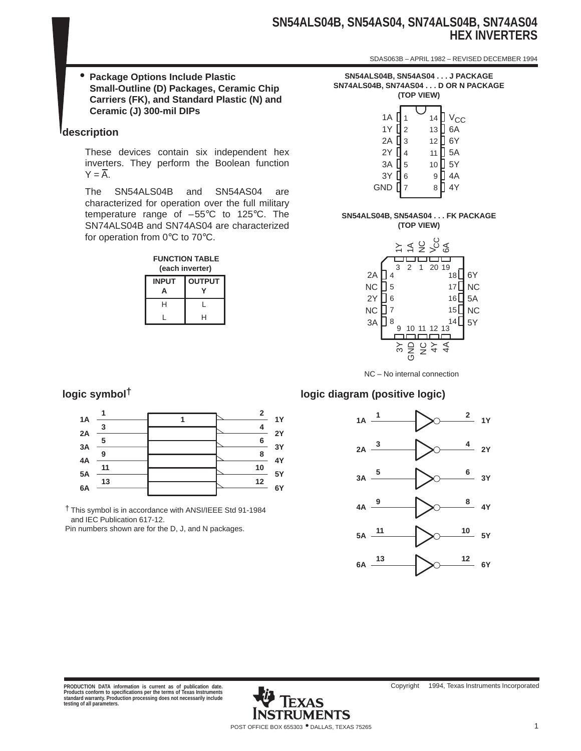# **SN54ALS04B, SN54AS04, SN74ALS04B, SN74AS04 HEX INVERTERS**

SDAS063B – APRIL 1982 – REVISED DECEMBER 1994

• **Package Options Include Plastic Small-Outline (D) Packages, Ceramic Chip Carriers (FK), and Standard Plastic (N) and Ceramic (J) 300-mil DIPs**

### **description**

These devices contain six independent hex inverters. They perform the Boolean function  $Y = \overline{A}$ .

The SN54ALS04B and SN54AS04 are characterized for operation over the full military temperature range of –55°C to 125°C. The SN74ALS04B and SN74AS04 are characterized for operation from 0°C to 70°C.

| <b>FUNCTION TABLE</b><br>(each inverter) |               |  |  |  |  |  |
|------------------------------------------|---------------|--|--|--|--|--|
| <b>INPUT</b><br>A                        | <b>OUTPUT</b> |  |  |  |  |  |
| н                                        | L             |  |  |  |  |  |
|                                          | н             |  |  |  |  |  |

**SN54ALS04B, SN54AS04 . . . J PACKAGE SN74ALS04B, SN74AS04 . . . D OR N PACKAGE (TOP VIEW)**

### **SN54ALS04B, SN54AS04 . . . FK PACKAGE (TOP VIEW)**



### **logic symbol† logic diagram (positive logic)**



|    |    | ົ<br>1Y               |
|----|----|-----------------------|
| 1A | 3  | 2Y                    |
| 2A | 5  | 6                     |
| 3A | 9  | 3Y<br>8<br>4Y         |
| 4A | 11 | 10                    |
| 5A | 13 | <b>5Y</b><br>12<br>6Y |
| 6A |    |                       |

† This symbol is in accordance with ANSI/IEEE Std 91-1984 and IEC Publication 617-12.

Pin numbers shown are for the D, J, and N packages.

PRODUCTION DATA information is current as of publication date.<br>Products conform to specifications per the terms of Texas Instruments<br>standard warranty. Production processing does not necessarily include<br>testing of all para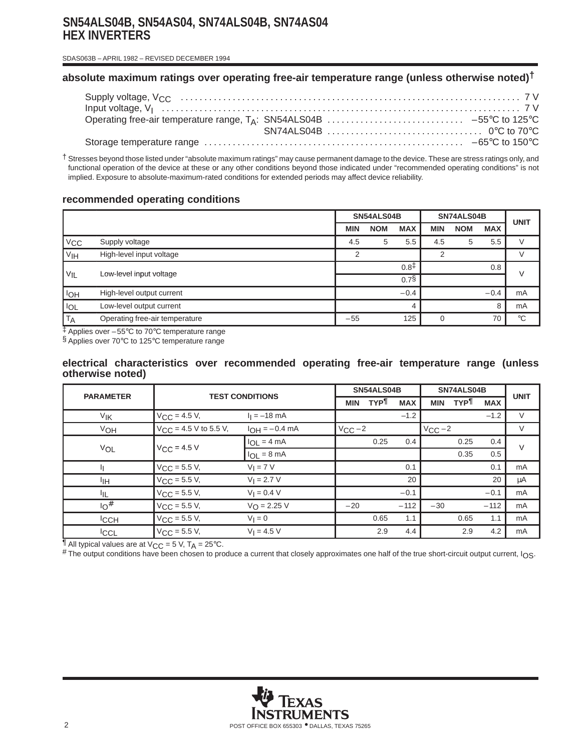### **SN54ALS04B, SN54AS04, SN74ALS04B, SN74AS04 HEX INVERTERS**

 SDAS063B – APRIL 1982 – REVISED DECEMBER 1994

### **absolute maximum ratings over operating free-air temperature range (unless otherwise noted)†**

† Stresses beyond those listed under "absolute maximum ratings" may cause permanent damage to the device. These are stress ratings only, and functional operation of the device at these or any other conditions beyond those indicated under "recommended operating conditions" is not implied. Exposure to absolute-maximum-rated conditions for extended periods may affect device reliability.

### **recommended operating conditions**

|                 |                                | SN54ALS04B |            | SN74ALS04B       |            |            | <b>UNIT</b> |             |
|-----------------|--------------------------------|------------|------------|------------------|------------|------------|-------------|-------------|
|                 |                                | <b>MIN</b> | <b>NOM</b> | <b>MAX</b>       | <b>MIN</b> | <b>NOM</b> | <b>MAX</b>  |             |
| $V_{CC}$        | Supply voltage                 | 4.5        | 5          | 5.5              | 4.5        | 5          | 5.5         |             |
| V <sub>IH</sub> | High-level input voltage       | 2          |            |                  | っ          |            |             | V           |
|                 | Low-level input voltage        |            |            | $0.8^{\ddagger}$ |            |            | 0.8         | $\vee$      |
| $V_{IL}$        |                                |            |            | 0.7 <sup>5</sup> |            |            |             |             |
| l <sub>OH</sub> | High-level output current      |            |            | $-0.4$           |            |            | $-0.4$      | mA          |
| $I_{OL}$        | Low-level output current       |            |            |                  |            |            | 8           | mA          |
| <b>TA</b>       | Operating free-air temperature | $-55$      |            | 125              |            |            | 70          | $^{\circ}C$ |

‡ Applies over –55°C to 70°C temperature range

§ Applies over 70°C to 125°C temperature range

### **electrical characteristics over recommended operating free-air temperature range (unless otherwise noted)**

| <b>PARAMETER</b> | <b>TEST CONDITIONS</b>     |                         | SN54ALS04B       |            |            | SN74ALS04B  | <b>UNIT</b> |            |        |
|------------------|----------------------------|-------------------------|------------------|------------|------------|-------------|-------------|------------|--------|
|                  |                            |                         | <b>MIN</b>       | <b>TYP</b> | <b>MAX</b> | <b>MIN</b>  | <b>TYP</b>  | <b>MAX</b> |        |
| V <sub>IK</sub>  | $V_{\text{CC}} = 4.5 V,$   | $I_1 = -18$ mA          |                  |            | $-1.2$     |             |             | $-1.2$     | $\vee$ |
| VOH              | $V_{CC}$ = 4.5 V to 5.5 V, | $I_{OH} = -0.4$ mA      | $V_{\rm CC}$ – 2 |            |            | $V_{CC}$ -2 |             |            | V      |
| VOL              | $V_{C}C = 4.5 V$           | $I_{OL} = 4 mA$         |                  | 0.25       | 0.4        |             | 0.25        | 0.4        | $\vee$ |
|                  |                            | $I_{OL} = 8 \text{ mA}$ |                  |            |            |             | 0.35        | 0.5        |        |
|                  | $V_{\text{CC}} = 5.5 V,$   | $V_I = 7 V$             |                  |            | 0.1        |             |             | 0.1        | mA     |
| ŀщ               | $V_{CC} = 5.5 V,$          | $V_1 = 2.7 V$           |                  |            | 20         |             |             | 20         | μA     |
| IIL.             | $V_{\text{CC}} = 5.5 V,$   | $V_1 = 0.4 V$           |                  |            | $-0.1$     |             |             | $-0.1$     | mA     |
| $10^{\#}$        | $V_{\rm CC}$ = 5.5 V,      | $V_{\Omega} = 2.25 V$   | $-20$            |            | $-112$     | $-30$       |             | $-112$     | mA     |
| <sup>I</sup> CCH | $V_{\rm CC}$ = 5.5 V,      | $V_1 = 0$               |                  | 0.65       | 1.1        |             | 0.65        | 1.1        | mA     |
| <b>ICCL</b>      | $V_{CC} = 5.5 V,$          | $V_1 = 4.5 V$           |                  | 2.9        | 4.4        |             | 2.9         | 4.2        | mA     |

 $\overline{\P}$  All typical values are at V<sub>CC</sub> = 5 V, T<sub>A</sub> = 25°C.

# The output conditions have been chosen to produce a current that closely approximates one half of the true short-circuit output current, I<sub>OS</sub>.

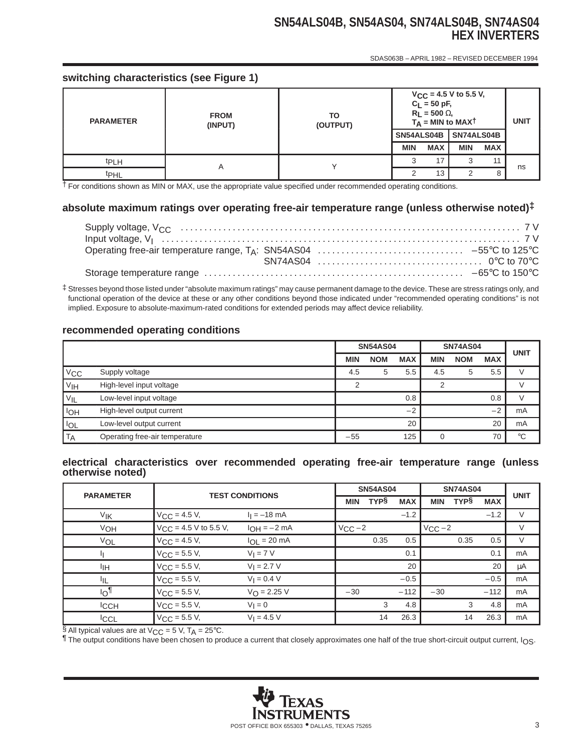# **SN54ALS04B, SN54AS04, SN74ALS04B, SN74AS04 HEX INVERTERS** SDAS063B – APRIL 1982 – REVISED DECEMBER 1994

### **switching characteristics (see Figure 1)**

| <b>PARAMETER</b> | <b>FROM</b><br>(INPUT) | ТО<br>(OUTPUT) | $V_{CC}$ = 4.5 V to 5.5 V,<br>$C_L = 50$ pF,<br>$R_L$ = 500 $\Omega$ ,<br>$T_A$ = MIN to MAXT | <b>UNIT</b> |            |            |    |
|------------------|------------------------|----------------|-----------------------------------------------------------------------------------------------|-------------|------------|------------|----|
|                  |                        |                | SN54ALS04B                                                                                    |             | SN74ALS04B |            |    |
|                  |                        |                | <b>MIN</b>                                                                                    | <b>MAX</b>  | <b>MIN</b> | <b>MAX</b> |    |
| <sup>t</sup> PLH |                        |                |                                                                                               |             | 3          | 11         | ns |
| t <sub>PHL</sub> | A                      |                |                                                                                               | 13          |            | 8          |    |

† For conditions shown as MIN or MAX, use the appropriate value specified under recommended operating conditions.

### **absolute maximum ratings over operating free-air temperature range (unless otherwise noted)‡**

‡ Stresses beyond those listed under "absolute maximum ratings" may cause permanent damage to the device. These are stress ratings only, and functional operation of the device at these or any other conditions beyond those indicated under "recommended operating conditions" is not implied. Exposure to absolute-maximum-rated conditions for extended periods may affect device reliability.

### **recommended operating conditions**

|                   |                                | <b>SN54AS04</b> |            | <b>SN74AS04</b> | <b>UNIT</b> |            |            |             |
|-------------------|--------------------------------|-----------------|------------|-----------------|-------------|------------|------------|-------------|
|                   |                                | <b>MIN</b>      | <b>NOM</b> | <b>MAX</b>      | MIN         | <b>NOM</b> | <b>MAX</b> |             |
| $V_{CC}$          | Supply voltage                 | 4.5             | 5          | 5.5             | 4.5         | 5          | 5.5        |             |
| V <sub>IH</sub>   | High-level input voltage       | ⌒               |            |                 | ⌒           |            |            |             |
| $V_{\mathsf{IL}}$ | Low-level input voltage        |                 |            | 0.8             |             |            | 0.8        |             |
| <b>IOH</b>        | High-level output current      |                 |            | $-2$            |             |            | $-2$       | mA          |
| <b>IOL</b>        | Low-level output current       |                 |            | 20              |             |            | 20         | mA          |
| <b>TA</b>         | Operating free-air temperature | $-55$           |            | 125             |             |            | 70         | $^{\circ}C$ |

### **electrical characteristics over recommended operating free-air temperature range (unless otherwise noted)**

| <b>PARAMETER</b> | <b>TEST CONDITIONS</b>     |                         | <b>SN54AS04</b>   |             |            | <b>SN74AS04</b> | <b>UNIT</b> |            |    |
|------------------|----------------------------|-------------------------|-------------------|-------------|------------|-----------------|-------------|------------|----|
|                  |                            |                         | <b>MIN</b>        | <b>TYPS</b> | <b>MAX</b> | <b>MIN</b>      | <b>TYPS</b> | <b>MAX</b> |    |
| V <sub>IK</sub>  | $V_{\text{CC}} = 4.5 V,$   | $I_1 = -18$ mA          |                   |             | $-1.2$     |                 |             | $-1.2$     | V  |
| VOH              | $V_{CC}$ = 4.5 V to 5.5 V, | $I_{OH} = -2 mA$        | $V_{\text{CC}}-2$ |             |            | $V_{CC}$ -2     |             |            | V  |
| VOL              | $V_{CC}$ = 4.5 V,          | $I_{OL}$ = 20 mA        |                   | 0.35        | 0.5        |                 | 0.35        | 0.5        | V  |
| Щ                | $V_{CC}$ = 5.5 V,          | $V_I = 7 V$             |                   |             | 0.1        |                 |             | 0.1        | mA |
| ŀщ               | $V_{CC}$ = 5.5 V,          | $V_1 = 2.7 V$           |                   |             | 20         |                 |             | 20         | μA |
| ЧL               | $V_{CC}$ = 5.5 V,          | $V_1 = 0.4 V$           |                   |             | $-0.5$     |                 |             | $-0.5$     | mA |
| $I_{\bigcirc}$   | $V_{CC}$ = 5.5 V,          | $V_{\text{O}} = 2.25 V$ | $-30$             |             | $-112$     | $-30$           |             | $-112$     | mA |
| <b>ICCH</b>      | $V_{CC}$ = 5.5 V,          | $V_1 = 0$               |                   | 3           | 4.8        |                 | 3           | 4.8        | mA |
| <b>ICCL</b>      | $V_{\rm CC}$ = 5.5 V,      | $V_1 = 4.5 V$           |                   | 14          | 26.3       |                 | 14          | 26.3       | mA |

§ All typical values are at  $V_{CC}$  = 5 V, T<sub>A</sub> = 25°C.

¶ The output conditions have been chosen to produce a current that closely approximates one half of the true short-circuit output current, IOS.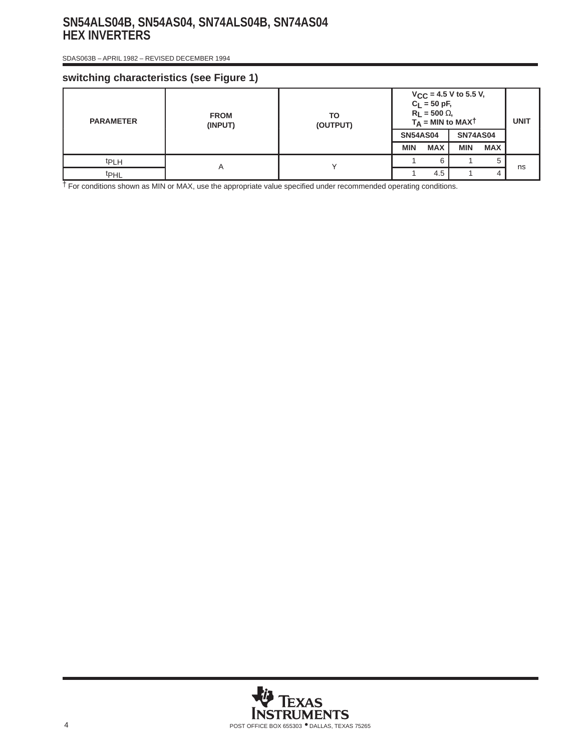# **SN54ALS04B, SN54AS04, SN74ALS04B, SN74AS04 HEX INVERTERS**

 SDAS063B – APRIL 1982 – REVISED DECEMBER 1994

### **switching characteristics (see Figure 1)**

| <b>PARAMETER</b> | <b>FROM</b><br>(INPUT) | TO<br>(OUTPUT) | $V_{CC}$ = 4.5 V to 5.5 V,<br>$C_L = 50$ pF,<br>$R_L$ = 500 $\Omega$ ,<br>$T_A$ = MIN to MAXT | <b>UNIT</b> |                 |            |    |
|------------------|------------------------|----------------|-----------------------------------------------------------------------------------------------|-------------|-----------------|------------|----|
|                  |                        |                | <b>SN54AS04</b>                                                                               |             | <b>SN74AS04</b> |            |    |
|                  |                        |                | <b>MIN</b>                                                                                    | <b>MAX</b>  | <b>MIN</b>      | <b>MAX</b> |    |
| <sup>t</sup> PLH |                        |                |                                                                                               | 6           |                 | 5          |    |
| t <sub>PHL</sub> | А                      |                |                                                                                               | 4.5         |                 | 4          | ns |

† For conditions shown as MIN or MAX, use the appropriate value specified under recommended operating conditions.